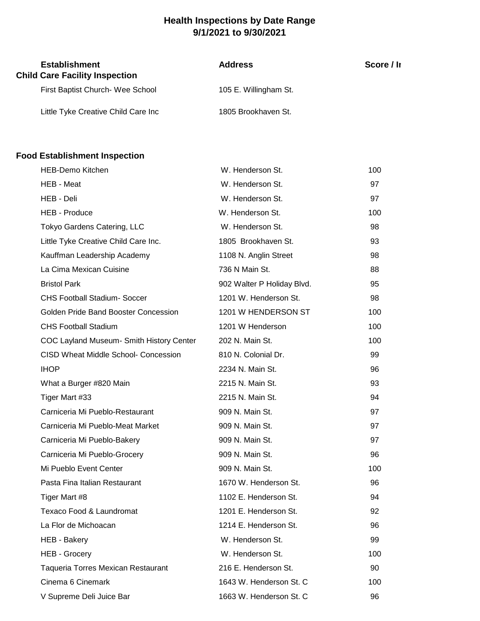## **Health Inspections by Date Range 9/1/2021 to 9/30/2021**

| <b>Establishment</b><br><b>Child Care Facility Inspection</b> | <b>Address</b>        | Score / Ir |
|---------------------------------------------------------------|-----------------------|------------|
| First Baptist Church- Wee School                              | 105 E. Willingham St. |            |
| Little Tyke Creative Child Care Inc                           | 1805 Brookhaven St.   |            |

## **Food Establishment Inspection**

| <b>HEB-Demo Kitchen</b>                     | W. Henderson St.           | 100 |
|---------------------------------------------|----------------------------|-----|
| HEB - Meat                                  | W. Henderson St.           | 97  |
| HEB - Deli                                  | W. Henderson St.           | 97  |
| <b>HEB - Produce</b>                        | W. Henderson St.           | 100 |
| Tokyo Gardens Catering, LLC                 | W. Henderson St.           | 98  |
| Little Tyke Creative Child Care Inc.        | 1805 Brookhaven St.        | 93  |
| Kauffman Leadership Academy                 | 1108 N. Anglin Street      | 98  |
| La Cima Mexican Cuisine                     | 736 N Main St.             | 88  |
| <b>Bristol Park</b>                         | 902 Walter P Holiday Blvd. | 95  |
| <b>CHS Football Stadium- Soccer</b>         | 1201 W. Henderson St.      | 98  |
| Golden Pride Band Booster Concession        | 1201 W HENDERSON ST        | 100 |
| <b>CHS Football Stadium</b>                 | 1201 W Henderson           | 100 |
| COC Layland Museum- Smith History Center    | 202 N. Main St.            | 100 |
| <b>CISD Wheat Middle School- Concession</b> | 810 N. Colonial Dr.        | 99  |
| <b>IHOP</b>                                 | 2234 N. Main St.           | 96  |
| What a Burger #820 Main                     | 2215 N. Main St.           | 93  |
| Tiger Mart #33                              | 2215 N. Main St.           | 94  |
| Carniceria Mi Pueblo-Restaurant             | 909 N. Main St.            | 97  |
| Carniceria Mi Pueblo-Meat Market            | 909 N. Main St.            | 97  |
| Carniceria Mi Pueblo-Bakery                 | 909 N. Main St.            | 97  |
| Carniceria Mi Pueblo-Grocery                | 909 N. Main St.            | 96  |
| Mi Pueblo Event Center                      | 909 N. Main St.            | 100 |
| Pasta Fina Italian Restaurant               | 1670 W. Henderson St.      | 96  |
| Tiger Mart #8                               | 1102 E. Henderson St.      | 94  |
| Texaco Food & Laundromat                    | 1201 E. Henderson St.      | 92  |
| La Flor de Michoacan                        | 1214 E. Henderson St.      | 96  |
| <b>HEB - Bakery</b>                         | W. Henderson St.           | 99  |
| <b>HEB - Grocery</b>                        | W. Henderson St.           | 100 |
| <b>Taqueria Torres Mexican Restaurant</b>   | 216 E. Henderson St.       | 90  |
| Cinema 6 Cinemark                           | 1643 W. Henderson St. C    | 100 |
| V Supreme Deli Juice Bar                    | 1663 W. Henderson St. C    | 96  |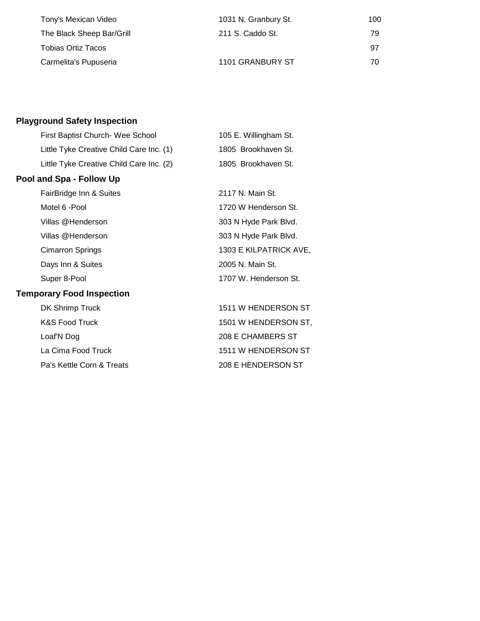| Tony's Mexican Video      | 1031 N. Granbury St. | 100 |
|---------------------------|----------------------|-----|
| The Black Sheep Bar/Grill | 211 S. Caddo St.     | 79  |
| Tobias Ortiz Tacos        |                      | .97 |
| Carmelita's Pupuseria     | 1101 GRANBURY ST     | 70  |

## **Playground Safety Inspection**

| First Baptist Church- Wee School         | 105 E. Willingham St.  |
|------------------------------------------|------------------------|
| Little Tyke Creative Child Care Inc. (1) | 1805 Brookhaven St.    |
| Little Tyke Creative Child Care Inc. (2) | 1805 Brookhaven St.    |
| Pool and Spa - Follow Up                 |                        |
| FairBridge Inn & Suites                  | 2117 N. Main St.       |
| Motel 6 - Pool                           | 1720 W Henderson St.   |
| Villas @Henderson                        | 303 N Hyde Park Blvd.  |
| Villas @Henderson                        | 303 N Hyde Park Blvd.  |
| <b>Cimarron Springs</b>                  | 1303 E KILPATRICK AVE, |
| Days Inn & Suites                        | 2005 N. Main St.       |
| Super 8-Pool                             | 1707 W. Henderson St.  |
| <b>Temporary Food Inspection</b>         |                        |
| DK Shrimp Truck                          | 1511 W HENDERSON ST    |
| <b>K&amp;S Food Truck</b>                | 1501 W HENDERSON ST,   |
| Loaf'N Dog                               | 208 E CHAMBERS ST      |
| La Cima Food Truck                       | 1511 W HENDERSON ST    |
| Pa's Kettle Corn & Treats                | 208 E HENDERSON ST     |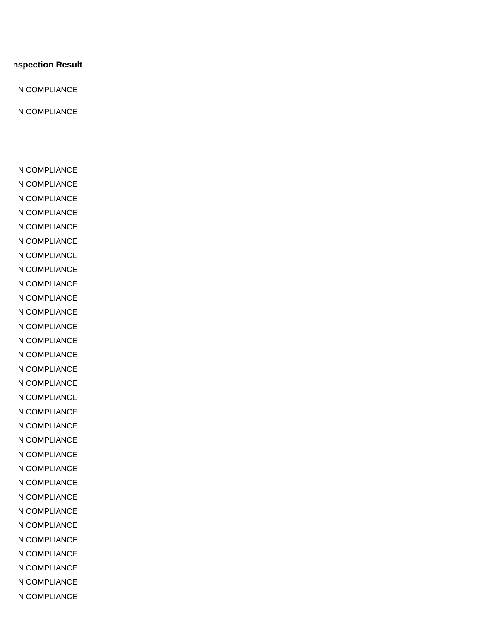## **SSPECTION Result**

IN COMPLIANCE

IN COMPLIANCE

IN COMPLIANCE IN COMPLIANCE IN COMPLIANCE IN COMPLIANCE IN COMPLIANCE IN COMPLIANCE IN COMPLIANCE IN COMPLIANCE IN COMPLIANCE IN COMPLIANCE IN COMPLIANCE IN COMPLIANCE IN COMPLIANCE IN COMPLIANCE IN COMPLIANCE IN COMPLIANCE IN COMPLIANCE IN COMPLIANCE IN COMPLIANCE IN COMPLIANCE IN COMPLIANCE IN COMPLIANCE IN COMPLIANCE IN COMPLIANCE IN COMPLIANCE IN COMPLIANCE IN COMPLIANCE IN COMPLIANCE IN COMPLIANCE IN COMPLIANCE IN COMPLIANCE